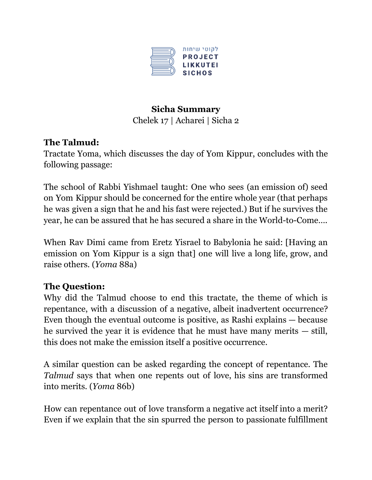

# **Sicha Summary**

Chelek 17 | Acharei | Sicha 2

## **The Talmud:**

Tractate Yoma, which discusses the day of Yom Kippur, concludes with the following passage:

The school of Rabbi Yishmael taught: One who sees (an emission of) seed on Yom Kippur should be concerned for the entire whole year (that perhaps he was given a sign that he and his fast were rejected.) But if he survives the year, he can be assured that he has secured a share in the World-to-Come….

When Rav Dimi came from Eretz Yisrael to Babylonia he said: [Having an emission on Yom Kippur is a sign that] one will live a long life, grow, and raise others. (*Yoma* 88a)

## **The Question:**

Why did the Talmud choose to end this tractate, the theme of which is repentance, with a discussion of a negative, albeit inadvertent occurrence? Even though the eventual outcome is positive, as Rashi explains — because he survived the year it is evidence that he must have many merits — still, this does not make the emission itself a positive occurrence.

A similar question can be asked regarding the concept of repentance. The *Talmud* says that when one repents out of love, his sins are transformed into merits. (*Yoma* 86b)

How can repentance out of love transform a negative act itself into a merit? Even if we explain that the sin spurred the person to passionate fulfillment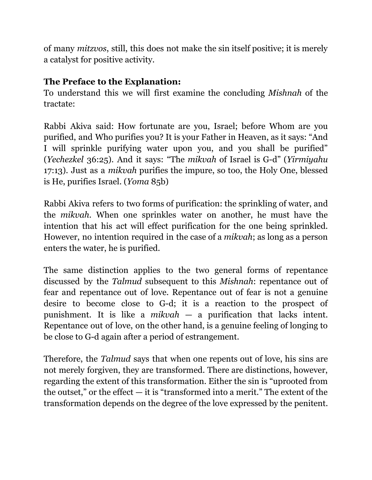of many *mitzvos*, still, this does not make the sin itself positive; it is merely a catalyst for positive activity.

#### **The Preface to the Explanation:**

To understand this we will first examine the concluding *Mishnah* of the tractate:

Rabbi Akiva said: How fortunate are you, Israel; before Whom are you purified, and Who purifies you? It is your Father in Heaven, as it says: "And I will sprinkle purifying water upon you, and you shall be purified" (*Yechezkel* 36:25). And it says: "The *mikvah* of Israel is G-d" (*Yirmiyahu* 17:13). Just as a *mikvah* purifies the impure, so too, the Holy One, blessed is He, purifies Israel. (*Yoma* 85b)

Rabbi Akiva refers to two forms of purification: the sprinkling of water, and the *mikvah*. When one sprinkles water on another, he must have the intention that his act will effect purification for the one being sprinkled. However, no intention required in the case of a *mikvah*; as long as a person enters the water, he is purified.

The same distinction applies to the two general forms of repentance discussed by the *Talmud* subsequent to this *Mishnah*: repentance out of fear and repentance out of love. Repentance out of fear is not a genuine desire to become close to G-d; it is a reaction to the prospect of punishment. It is like a *mikvah* — a purification that lacks intent. Repentance out of love, on the other hand, is a genuine feeling of longing to be close to G-d again after a period of estrangement.

Therefore, the *Talmud* says that when one repents out of love, his sins are not merely forgiven, they are transformed. There are distinctions, however, regarding the extent of this transformation. Either the sin is "uprooted from the outset," or the effect  $-$  it is "transformed into a merit." The extent of the transformation depends on the degree of the love expressed by the penitent.